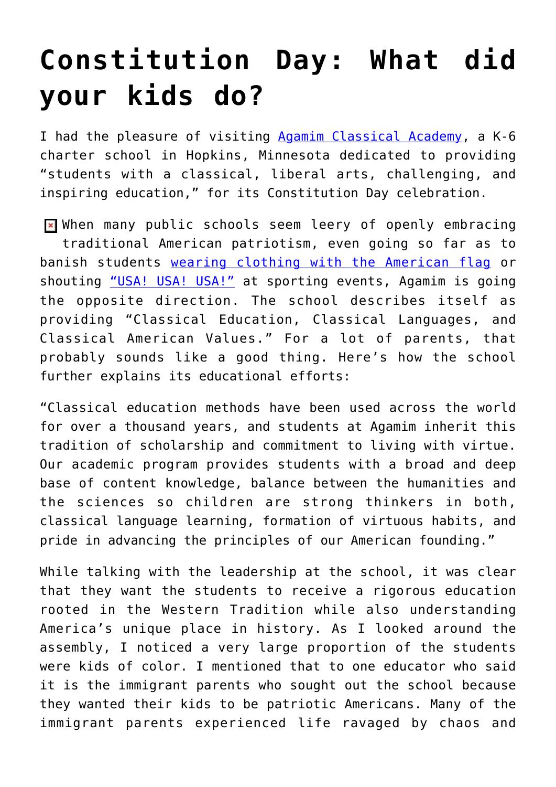# **[Constitution Day: What did](https://intellectualtakeout.org/2017/09/constitution-day-what-did-your-kids-do/) [your kids do?](https://intellectualtakeout.org/2017/09/constitution-day-what-did-your-kids-do/)**

I had the pleasure of visiting [Agamim Classical Academy](https://www.agamim.org/), a K-6 charter school in Hopkins, Minnesota dedicated to providing "students with a classical, liberal arts, challenging, and inspiring education," for its Constitution Day celebration.

**E** when many public schools seem leery of openly embracing traditional American patriotism, even going so far as to banish students [wearing clothing with the American flag](http://www.nbcbayarea.com/news/local/Students-Wearing-American-Flag-Shirts-Sent-Home-92945969.html) or shouting ["USA! USA! USA!"](http://sacramento.cbslocal.com/2017/09/14/high-school-usa-chant/) at sporting events, Agamim is going the opposite direction. The school describes itself as providing "Classical Education, Classical Languages, and Classical American Values." For a lot of parents, that probably sounds like a good thing. Here's how the school further explains its educational efforts:

"Classical education methods have been used across the world for over a thousand years, and students at Agamim inherit this tradition of scholarship and commitment to living with virtue. Our academic program provides students with a broad and deep base of content knowledge, balance between the humanities and the sciences so children are strong thinkers in both, classical language learning, formation of virtuous habits, and pride in advancing the principles of our American founding."

While talking with the leadership at the school, it was clear that they want the students to receive a rigorous education rooted in the Western Tradition while also understanding America's unique place in history. As I looked around the assembly, I noticed a very large proportion of the students were kids of color. I mentioned that to one educator who said it is the immigrant parents who sought out the school because they wanted their kids to be patriotic Americans. Many of the immigrant parents experienced life ravaged by chaos and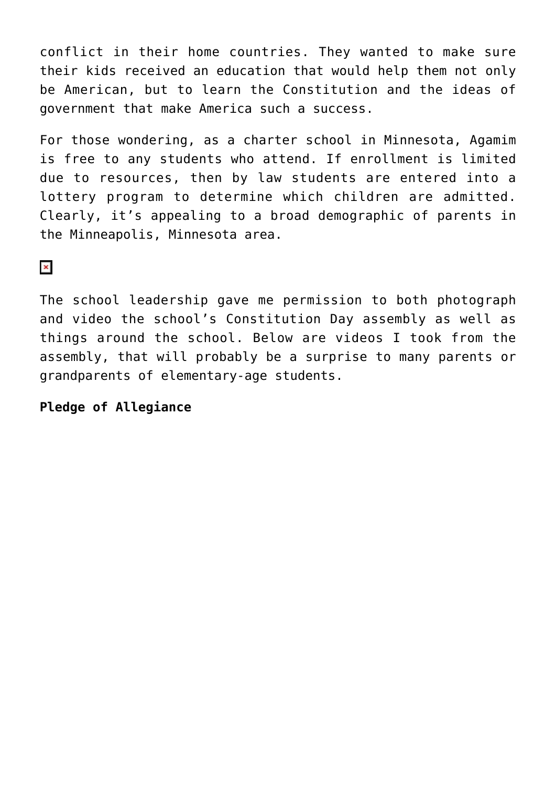conflict in their home countries. They wanted to make sure their kids received an education that would help them not only be American, but to learn the Constitution and the ideas of government that make America such a success.

For those wondering, as a charter school in Minnesota, Agamim is free to any students who attend. If enrollment is limited due to resources, then by law students are entered into a lottery program to determine which children are admitted. Clearly, it's appealing to a broad demographic of parents in the Minneapolis, Minnesota area.

## $\pmb{\times}$

The school leadership gave me permission to both photograph and video the school's Constitution Day assembly as well as things around the school. Below are videos I took from the assembly, that will probably be a surprise to many parents or grandparents of elementary-age students.

#### **Pledge of Allegiance**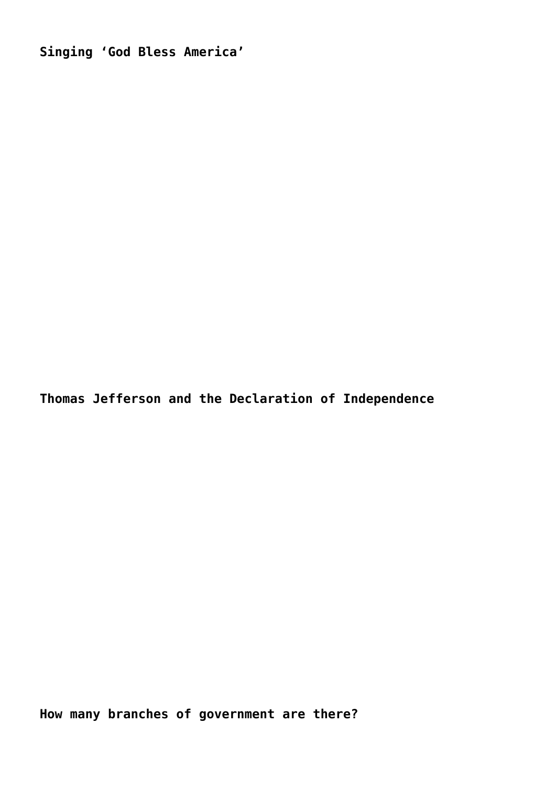**Singing 'God Bless America'**

**Thomas Jefferson and the Declaration of Independence**

**How many branches of government are there?**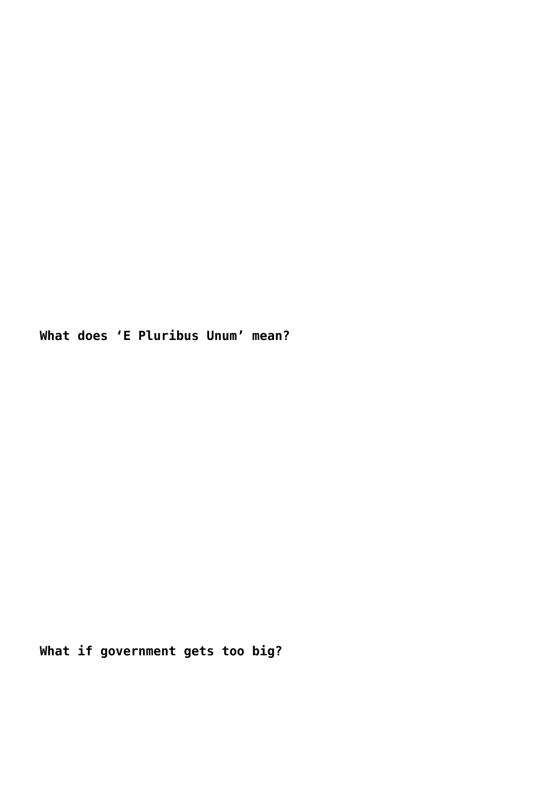**What does 'E Pluribus Unum' mean?**

**What if government gets too big?**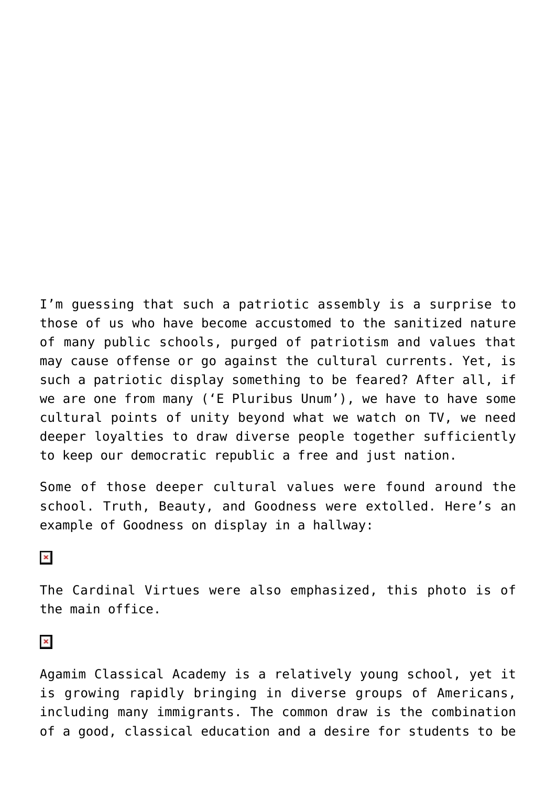I'm guessing that such a patriotic assembly is a surprise to those of us who have become accustomed to the sanitized nature of many public schools, purged of patriotism and values that may cause offense or go against the cultural currents. Yet, is such a patriotic display something to be feared? After all, if we are one from many ('E Pluribus Unum'), we have to have some cultural points of unity beyond what we watch on TV, we need deeper loyalties to draw diverse people together sufficiently to keep our democratic republic a free and just nation.

Some of those deeper cultural values were found around the school. Truth, Beauty, and Goodness were extolled. Here's an example of Goodness on display in a hallway:

## $\pmb{\times}$

The Cardinal Virtues were also emphasized, this photo is of the main office.

### $\pmb{\times}$

Agamim Classical Academy is a relatively young school, yet it is growing rapidly bringing in diverse groups of Americans, including many immigrants. The common draw is the combination of a good, classical education and a desire for students to be